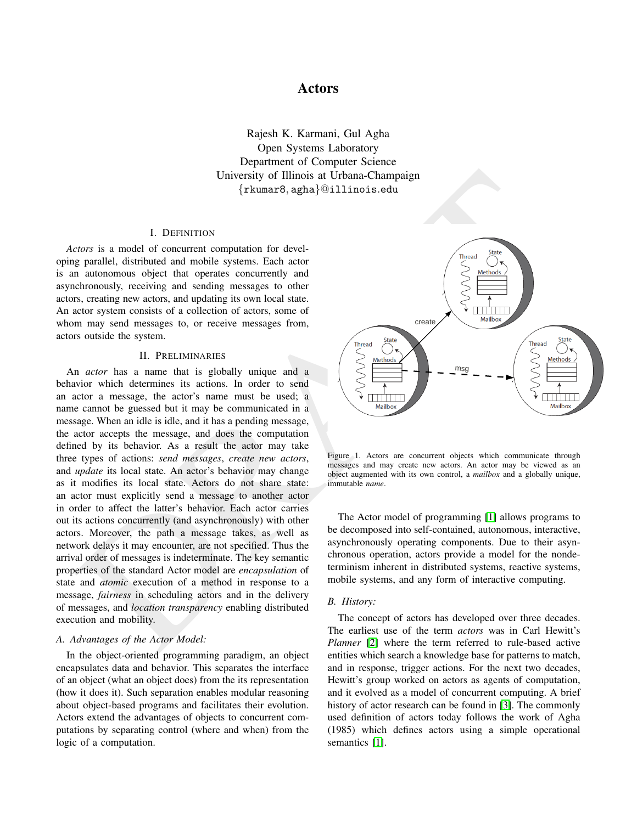# Actors

Rajesh K. Karmani, Gul Agha Open Systems Laboratory Department of Computer Science University of Illinois at Urbana-Champaign {rkumar8, agha}@illinois.edu

#### I. DEFINITION

*Actors* is a model of concurrent computation for developing parallel, distributed and mobile systems. Each actor is an autonomous object that operates concurrently and asynchronously, receiving and sending messages to other actors, creating new actors, and updating its own local state. An actor system consists of a collection of actors, some of whom may send messages to, or receive messages from, actors outside the system.

#### II. PRELIMINARIES

An *actor* has a name that is globally unique and a behavior which determines its actions. In order to send an actor a message, the actor's name must be used; a name cannot be guessed but it may be communicated in a message. When an idle is idle, and it has a pending message, the actor accepts the message, and does the computation defined by its behavior. As a result the actor may take three types of actions: *send messages*, *create new actors*, and *update* its local state. An actor's behavior may change as it modifies its local state. Actors do not share state: an actor must explicitly send a message to another actor in order to affect the latter's behavior. Each actor carries out its actions concurrently (and asynchronously) with other actors. Moreover, the path a message takes, as well as network delays it may encounter, are not specified. Thus the arrival order of messages is indeterminate. The key semantic properties of the standard Actor model are *encapsulation* of state and *atomic* execution of a method in response to a message, *fairness* in scheduling actors and in the delivery of messages, and *location transparency* enabling distributed execution and mobility.

### *A. Advantages of the Actor Model:*

In the object-oriented programming paradigm, an object encapsulates data and behavior. This separates the interface of an object (what an object does) from the its representation (how it does it). Such separation enables modular reasoning about object-based programs and facilitates their evolution. Actors extend the advantages of objects to concurrent computations by separating control (where and when) from the logic of a computation.



Figure 1. Actors are concurrent objects which communicate through messages and may create new actors. An actor may be viewed as an object augmented with its own control, a *mailbox* and a globally unique, immutable *name*.

The Actor model of programming [1] allows programs to be decomposed into self-contained, autonomous, interactive, asynchronously operating components. Due to their asynchronous operation, actors provide a model for the nondeterminism inherent in distributed systems, reactive systems, mobile systems, and any form of interactive computing.

## *B. History:*

The concept of actors has developed over three decades. The earliest use of the term *actors* was in Carl Hewitt's *Planner* [2] where the term referred to rule-based active entities which search a knowledge base for patterns to match, and in response, trigger actions. For the next two decades, Hewitt's group worked on actors as agents of computation, and it evolved as a model of concurrent computing. A brief history of actor research can be found in [\[3\]](#page-6-2). The commonly used definition of actors today follows the work of Agha (1985) which defines actors using a simple operational semantics [\[1\]](#page-6-0).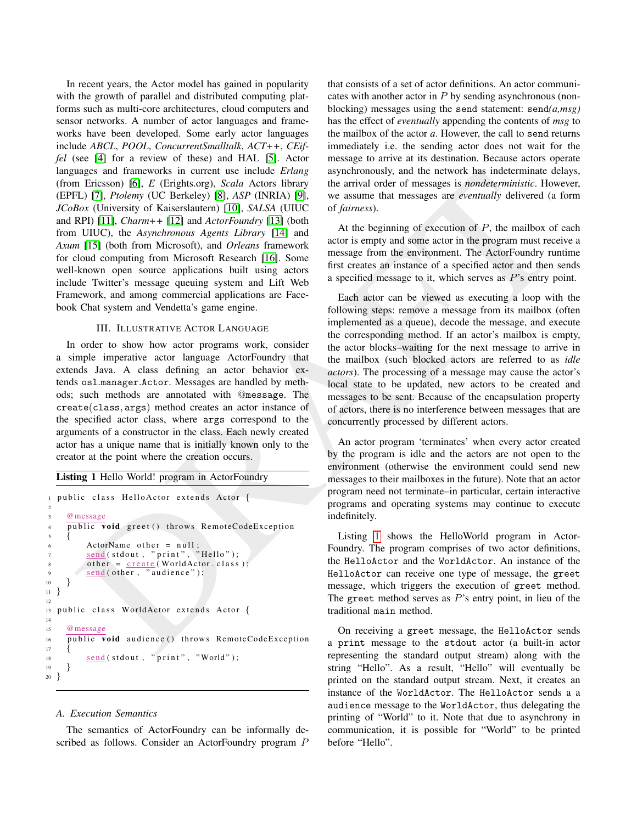In recent years, the Actor model has gained in popularity with the growth of parallel and distributed computing platforms such as multi-core architectures, cloud computers and sensor networks. A number of actor languages and frameworks have been developed. Some early actor languages include *ABCL*, *POOL*, *ConcurrentSmalltalk*, *ACT++*, *CEiffel* (see [\[4\]](#page-6-3) for a review of these) and HAL [\[5\]](#page-6-4). Actor languages and frameworks in current use include *Erlang* (from Ericsson) [6], *E* (Erights.org), *Scala* Actors library (EPFL) [7], *Ptolemy* (UC Berkeley) [8], *ASP* (INRIA) [9], *JCoBox* (University of Kaiserslautern) [10], *SALSA* (UIUC and RPI) [11], *Charm++* [12] and *ActorFoundry* [13] (both from UIUC), the *Asynchronous Agents Library* [14] and *Axum* [15] (both from Microsoft), and *Orleans* framework for cloud computing from Microsoft Research [16]. Some well-known open source applications built using actors include Twitter's message queuing system and Lift Web Framework, and among commercial applications are Facebook Chat system and Vendetta's game engine.

#### III. ILLUSTRATIVE ACTOR LANGUAGE

In order to show how actor programs work, consider a simple imperative actor language ActorFoundry that extends Java. A class defining an actor behavior extends osl.manager.Actor. Messages are handled by methods; such methods are annotated with @message. The create(class, args) method creates an actor instance of the specified actor class, where args correspond to the arguments of a constructor in the class. Each newly created actor has a unique name that is initially known only to the creator at the point where the creation occurs.

### <span id="page-1-0"></span>Listing 1 Hello World! program in ActorFoundry

```
again affiliarison in carried to include Enforg any disturbant and the network has indetermined edition.<br>The Enforgation (G), E. (Fights org), Scale Actos havay the arrival order of mesages is conditermative. Howeve
1 public class HelloActor extends Actor {
 2
3 @message
4 public void greet () throws RemoteCodeException
 5 {
           ActionName other = null;
\frac{1}{7} send (stdout, "print", "Hello");
 8 other = \frac{create}{\text{order}} (WorldActor.class);
 9 \sqrt{\text{send}}(\text{other}, \text{ "audience");}10 }
11 }
12
13 public class WorldActor extends Actor {
14
15 @message
16 public void audience () throws RemoteCodeException
17 {
\frac{\text{send}}{\text{send}}(\text{stdout}, \text{ "print", "World");}19 }
20 }
```
#### *A. Execution Semantics*

The semantics of ActorFoundry can be informally described as follows. Consider an ActorFoundry program P that consists of a set of actor definitions. An actor communicates with another actor in  $P$  by sending asynchronous (nonblocking) messages using the send statement: send*(a,msg)* has the effect of *eventually* appending the contents of *msg* to the mailbox of the actor *a*. However, the call to send returns immediately i.e. the sending actor does not wait for the message to arrive at its destination. Because actors operate asynchronously, and the network has indeterminate delays, the arrival order of messages is *nondeterministic*. However, we assume that messages are *eventually* delivered (a form of *fairness*).

At the beginning of execution of  $P$ , the mailbox of each actor is empty and some actor in the program must receive a message from the environment. The ActorFoundry runtime first creates an instance of a specified actor and then sends a specified message to it, which serves as P's entry point.

Each actor can be viewed as executing a loop with the following steps: remove a message from its mailbox (often implemented as a queue), decode the message, and execute the corresponding method. If an actor's mailbox is empty, the actor blocks–waiting for the next message to arrive in the mailbox (such blocked actors are referred to as *idle actors*). The processing of a message may cause the actor's local state to be updated, new actors to be created and messages to be sent. Because of the encapsulation property of actors, there is no interference between messages that are concurrently processed by different actors.

An actor program 'terminates' when every actor created by the program is idle and the actors are not open to the environment (otherwise the environment could send new messages to their mailboxes in the future). Note that an actor program need not terminate–in particular, certain interactive programs and operating systems may continue to execute indefinitely.

Listing 1 shows the HelloWorld program in Actor-Foundry. The program comprises of two actor definitions, the HelloActor and the WorldActor. An instance of the HelloActor can receive one type of message, the greet message, which triggers the execution of greet method. The greet method serves as  $P$ 's entry point, in lieu of the traditional main method.

On receiving a greet message, the HelloActor sends a print message to the stdout actor (a built-in actor representing the standard output stream) along with the string "Hello". As a result, "Hello" will eventually be printed on the standard output stream. Next, it creates an instance of the WorldActor. The HelloActor sends a a audience message to the WorldActor, thus delegating the printing of "World" to it. Note that due to asynchrony in communication, it is possible for "World" to be printed before "Hello".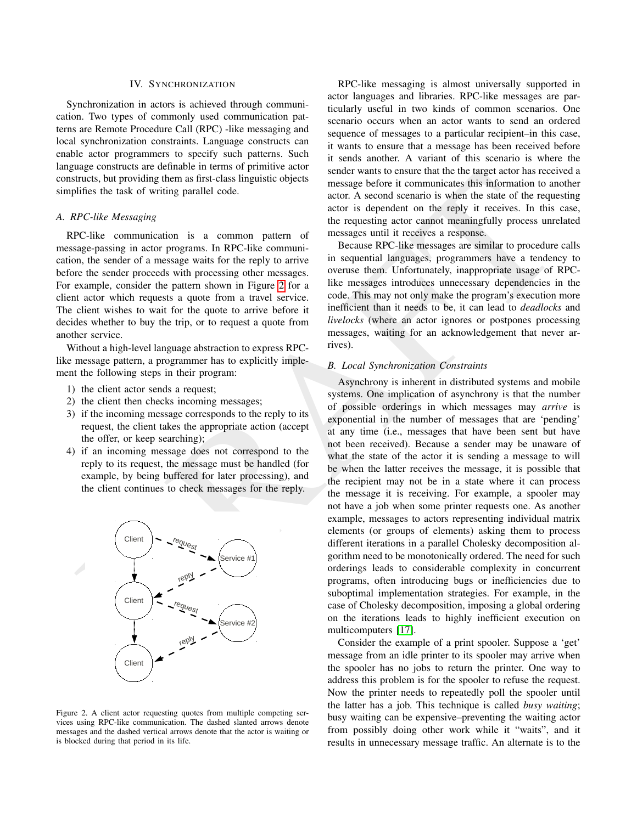#### IV. SYNCHRONIZATION

Synchronization in actors is achieved through communication. Two types of commonly used communication patterns are Remote Procedure Call (RPC) -like messaging and local synchronization constraints. Language constructs can enable actor programmers to specify such patterns. Such language constructs are definable in terms of primitive actor constructs, but providing them as first-class linguistic objects simplifies the task of writing parallel code.

### *A. RPC-like Messaging*

RPC-like communication is a common pattern of message-passing in actor programs. In RPC-like communication, the sender of a message waits for the reply to arrive before the sender proceeds with processing other messages. For example, consider the pattern shown in Figure 2 for a client actor which requests a quote from a travel service. The client wishes to wait for the quote to arrive before it decides whether to buy the trip, or to request a quote from another service.

Without a high-level language abstraction to express RPClike message pattern, a programmer has to explicitly implement the following steps in their program:

- 1) the client actor sends a request;
- 2) the client then checks incoming messages;
- 3) if the incoming message corresponds to the reply to its request, the client takes the appropriate action (accept the offer, or keep searching);
- 4) if an incoming message does not correspond to the reply to its request, the message must be handled (for example, by being buffered for later processing), and the client continues to check messages for the reply.



<span id="page-2-0"></span>Figure 2. A client actor requesting quotes from multiple competing services using RPC-like communication. The dashed slanted arrows denote messages and the dashed vertical arrows denote that the actor is waiting or is blocked during that period in its life.

RPC-like messaging is almost universally supported in actor languages and libraries. RPC-like messages are particularly useful in two kinds of common scenarios. One scenario occurs when an actor wants to send an ordered sequence of messages to a particular recipient–in this case, it wants to ensure that a message has been received before it sends another. A variant of this scenario is where the sender wants to ensure that the the target actor has received a message before it communicates this information to another actor. A second scenario is when the state of the requesting actor is dependent on the reply it receives. In this case, the requesting actor cannot meaningfully process unrelated messages until it receives a response.

Because RPC-like messages are similar to procedure calls in sequential languages, programmers have a tendency to overuse them. Unfortunately, inappropriate usage of RPClike messages introduces unnecessary dependencies in the code. This may not only make the program's execution more inefficient than it needs to be, it can lead to *deadlocks* and *livelocks* (where an actor ignores or postpones processing messages, waiting for an acknowledgement that never arrives).

### <span id="page-2-1"></span>*B. Local Synchronization Constraints*

trans. but providing them as find-data linearistic depend on smalle to meanwe have the incomparison in the constraints of possible only the mean of  $A$  constraints in the constraints of the experimental on the constraints Asynchrony is inherent in distributed systems and mobile systems. One implication of asynchrony is that the number of possible orderings in which messages may *arrive* is exponential in the number of messages that are 'pending' at any time (i.e., messages that have been sent but have not been received). Because a sender may be unaware of what the state of the actor it is sending a message to will be when the latter receives the message, it is possible that the recipient may not be in a state where it can process the message it is receiving. For example, a spooler may not have a job when some printer requests one. As another example, messages to actors representing individual matrix elements (or groups of elements) asking them to process different iterations in a parallel Cholesky decomposition algorithm need to be monotonically ordered. The need for such orderings leads to considerable complexity in concurrent programs, often introducing bugs or inefficiencies due to suboptimal implementation strategies. For example, in the case of Cholesky decomposition, imposing a global ordering on the iterations leads to highly inefficient execution on multicomputers [17].

Consider the example of a print spooler. Suppose a 'get' message from an idle printer to its spooler may arrive when the spooler has no jobs to return the printer. One way to address this problem is for the spooler to refuse the request. Now the printer needs to repeatedly poll the spooler until the latter has a job. This technique is called *busy waiting*; busy waiting can be expensive–preventing the waiting actor from possibly doing other work while it "waits", and it results in unnecessary message traffic. An alternate is to the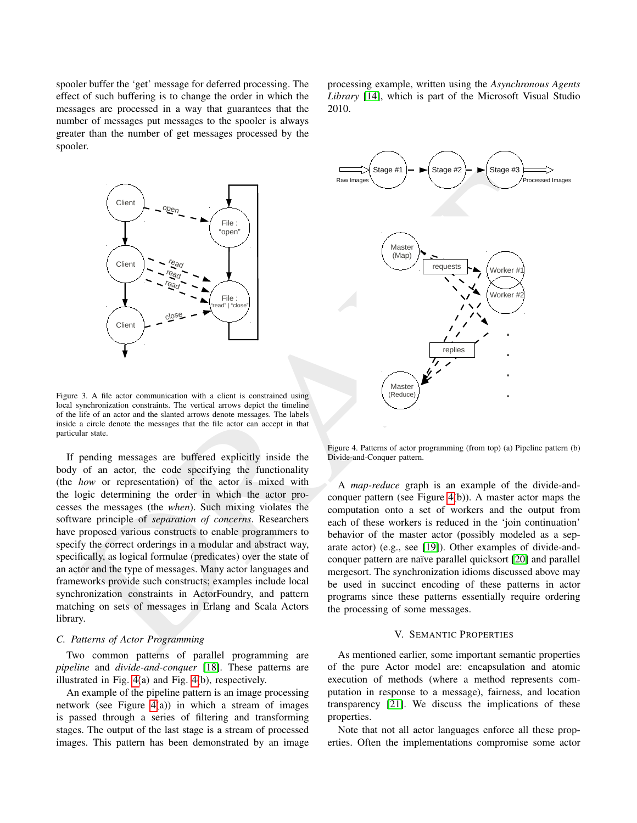spooler buffer the 'get' message for deferred processing. The effect of such buffering is to change the order in which the messages are processed in a way that guarantees that the number of messages put messages to the spooler is always greater than the number of get messages processed by the spooler.





processing example, written using the *Asynchronous Agents Library* [\[14\]](#page-7-8), which is part of the Microsoft Visual Studio

2010.

Figure 3. A file actor communication with a client is constrained using local synchronization constraints. The vertical arrows depict the timeline of the life of an actor and the slanted arrows denote messages. The labels inside a circle denote the messages that the file actor can accept in that particular state.

If pending messages are buffered explicitly inside the body of an actor, the code specifying the functionality (the *how* or representation) of the actor is mixed with the logic determining the order in which the actor processes the messages (the *when*). Such mixing violates the software principle of *separation of concerns*. Researchers have proposed various constructs to enable programmers to specify the correct orderings in a modular and abstract way, specifically, as logical formulae (predicates) over the state of an actor and the type of messages. Many actor languages and frameworks provide such constructs; examples include local synchronization constraints in ActorFoundry, and pattern matching on sets of messages in Erlang and Scala Actors library.

#### *C. Patterns of Actor Programming*

Two common patterns of parallel programming are *pipeline* and *divide-and-conquer* [\[18\]](#page-7-12). These patterns are illustrated in Fig. [4\(](#page-3-0)a) and Fig. [4\(](#page-3-0)b), respectively.

An example of the pipeline pattern is an image processing network (see Figure  $4(a)$ ) in which a stream of images is passed through a series of filtering and transforming stages. The output of the last stage is a stream of processed images. This pattern has been demonstrated by an image

<span id="page-3-0"></span>Figure 4. Patterns of actor programming (from top) (a) Pipeline pattern (b) Divide-and-Conquer pattern.

**Master** (Reduce) . .

A *map-reduce* graph is an example of the divide-andconquer pattern (see Figure 4(b)). A master actor maps the computation onto a set of workers and the output from each of these workers is reduced in the 'join continuation' behavior of the master actor (possibly modeled as a separate actor) (e.g., see [19]). Other examples of divide-andconquer pattern are naïve parallel quicksort [20] and parallel mergesort. The synchronization idioms discussed above may be used in succinct encoding of these patterns in actor programs since these patterns essentially require ordering the processing of some messages.

### V. SEMANTIC PROPERTIES

As mentioned earlier, some important semantic properties of the pure Actor model are: encapsulation and atomic execution of methods (where a method represents computation in response to a message), fairness, and location transparency [\[21\]](#page-7-15). We discuss the implications of these properties.

Note that not all actor languages enforce all these properties. Often the implementations compromise some actor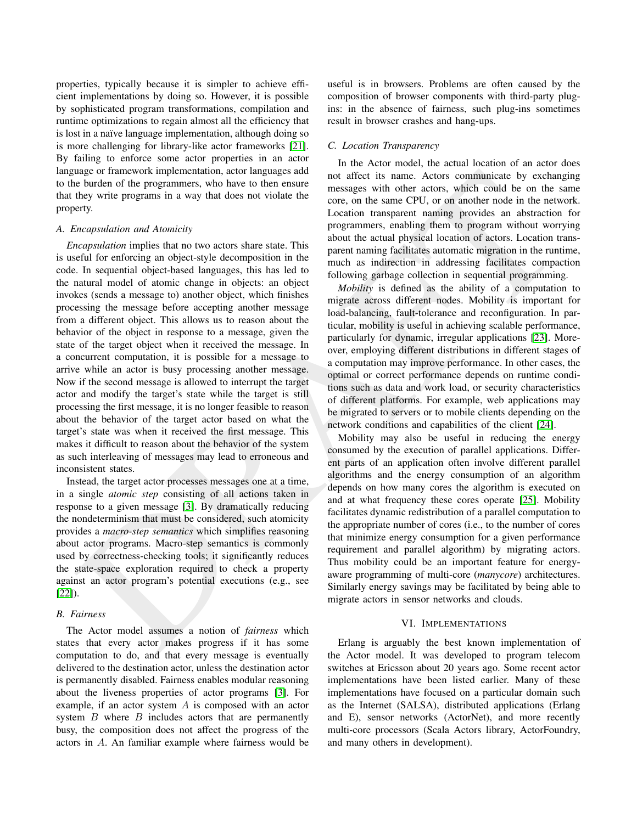properties, typically because it is simpler to achieve efficient implementations by doing so. However, it is possible by sophisticated program transformations, compilation and runtime optimizations to regain almost all the efficiency that is lost in a naïve language implementation, although doing so is more challenging for library-like actor frameworks [\[21\]](#page-7-15). By failing to enforce some actor properties in an actor language or framework implementation, actor languages add to the burden of the programmers, who have to then ensure that they write programs in a way that does not violate the property.

### *A. Encapsulation and Atomicity*

[DR](#page-6-2)AFT *Encapsulation* implies that no two actors share state. This is useful for enforcing an object-style decomposition in the code. In sequential object-based languages, this has led to the natural model of atomic change in objects: an object invokes (sends a message to) another object, which finishes processing the message before accepting another message from a different object. This allows us to reason about the behavior of the object in response to a message, given the state of the target object when it received the message. In a concurrent computation, it is possible for a message to arrive while an actor is busy processing another message. Now if the second message is allowed to interrupt the target actor and modify the target's state while the target is still processing the first message, it is no longer feasible to reason about the behavior of the target actor based on what the target's state was when it received the first message. This makes it difficult to reason about the behavior of the system as such interleaving of messages may lead to erroneous and inconsistent states.

Instead, the target actor processes messages one at a time, in a single *atomic step* consisting of all actions taken in response to a given message [3]. By dramatically reducing the nondeterminism that must be considered, such atomicity provides a *macro-step semantics* which simplifies reasoning about actor programs. Macro-step semantics is commonly used by correctness-checking tools; it significantly reduces the state-space exploration required to check a property against an actor program's potential executions (e.g., see [\[22\]](#page-7-16)).

#### *B. Fairness*

The Actor model assumes a notion of *fairness* which states that every actor makes progress if it has some computation to do, and that every message is eventually delivered to the destination actor, unless the destination actor is permanently disabled. Fairness enables modular reasoning about the liveness properties of actor programs [\[3\]](#page-6-2). For example, if an actor system A is composed with an actor system  $B$  where  $B$  includes actors that are permanently busy, the composition does not affect the progress of the actors in A. An familiar example where fairness would be useful is in browsers. Problems are often caused by the composition of browser components with third-party plugins: in the absence of fairness, such plug-ins sometimes result in browser crashes and hang-ups.

### *C. Location Transparency*

In the Actor model, the actual location of an actor does not affect its name. Actors communicate by exchanging messages with other actors, which could be on the same core, on the same CPU, or on another node in the network. Location transparent naming provides an abstraction for programmers, enabling them to program without worrying about the actual physical location of actors. Location transparent naming facilitates automatic migration in the runtime, much as indirection in addressing facilitates compaction following garbage collection in sequential programming.

*Mobility* is defined as the ability of a computation to migrate across different nodes. Mobility is important for load-balancing, fault-tolerance and reconfiguration. In particular, mobility is useful in achieving scalable performance, particularly for dynamic, irregular applications [23]. Moreover, employing different distributions in different stages of a computation may improve performance. In other cases, the optimal or correct performance depends on runtime conditions such as data and work load, or security characteristics of different platforms. For example, web applications may be migrated to servers or to mobile clients depending on the network conditions and capabilities of the client [24].

Mobility may also be useful in reducing the energy consumed by the execution of parallel applications. Different parts of an application often involve different parallel algorithms and the energy consumption of an algorithm depends on how many cores the algorithm is executed on and at what frequency these cores operate [25]. Mobility facilitates dynamic redistribution of a parallel computation to the appropriate number of cores (i.e., to the number of cores that minimize energy consumption for a given performance requirement and parallel algorithm) by migrating actors. Thus mobility could be an important feature for energyaware programming of multi-core (*manycore*) architectures. Similarly energy savings may be facilitated by being able to migrate actors in sensor networks and clouds.

### VI. IMPLEMENTATIONS

Erlang is arguably the best known implementation of the Actor model. It was developed to program telecom switches at Ericsson about 20 years ago. Some recent actor implementations have been listed earlier. Many of these implementations have focused on a particular domain such as the Internet (SALSA), distributed applications (Erlang and E), sensor networks (ActorNet), and more recently multi-core processors (Scala Actors library, ActorFoundry, and many others in development).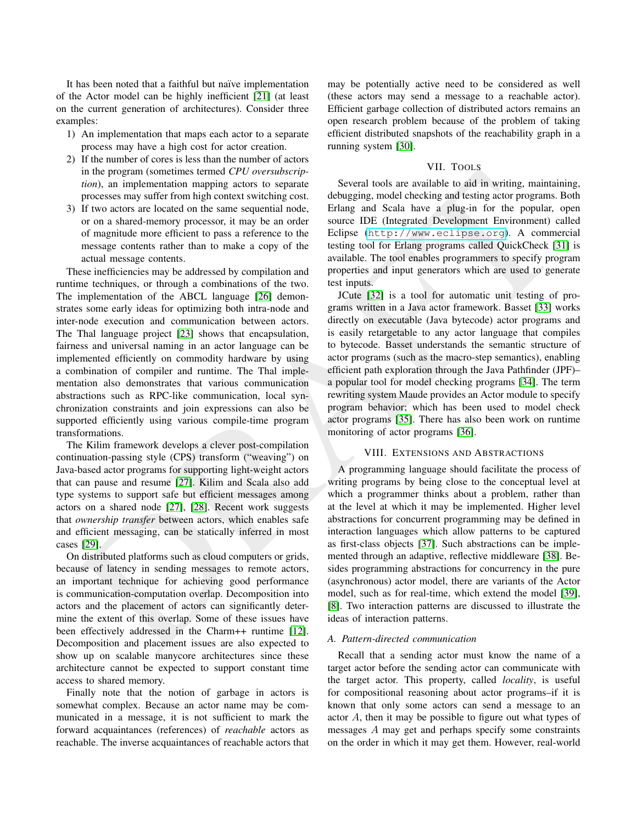It has been noted that a faithful but naïve implementation of the Actor model can be highly inefficient [\[21\]](#page-7-15) (at least on the current generation of architectures). Consider three examples:

- 1) An implementation that maps each actor to a separate process may have a high cost for actor creation.
- 2) If the number of cores is less than the number of actors in the program (sometimes termed *CPU oversubscription*), an implementation mapping actors to separate processes may suffer from high context switching cost.
- 3) If two actors are located on the same sequential node, or on a shared-memory processor, it may be an order of magnitude more efficient to pass a reference to the message contents rather than to make a copy of the actual message contents.

These inefficiencies may be addressed by compilation and runtime techniques, or through a combinations of the two. The implementation of the ABCL language [26] demonstrates some early ideas for optimizing both intra-node and inter-node execution and communication between actors. The Thal language project [23] shows that encapsulation, fairness and universal naming in an actor language can be implemented efficiently on commodity hardware by using a combination of compiler and runtime. The Thal implementation also demonstrates that various communication abstractions such as RPC-like communication, local synchronization constraints and join expressions can also be supported efficiently using various compile-time program transformations.

The Kilim framework develops a clever post-compilation continuation-passing style (CPS) transform ("weaving") on Java-based actor programs for supporting light-weight actors that can pause and resume [27]. Kilim and Scala also add type systems to support safe but efficient messages among actors on a shared node [27], [28]. Recent work suggests that *ownership transfer* between actors, which enables safe and efficient messaging, can be statically inferred in most cases [29].

On distributed platforms such as cloud computers or grids, because of latency in sending messages to remote actors, an important technique for achieving good performance is communication-computation overlap. Decomposition into actors and the placement of actors can significantly determine the extent of this overlap. Some of these issues have been effectively addressed in the Charm++ runtime [12]. Decomposition and placement issues are also expected to show up on scalable manycore architectures since these architecture cannot be expected to support constant time access to shared memory.

Finally note that the notion of garbage in actors is somewhat complex. Because an actor name may be communicated in a message, it is not sufficient to mark the forward acquaintances (references) of *reachable* actors as reachable. The inverse acquaintances of reachable actors that may be potentially active need to be considered as well (these actors may send a message to a reachable actor). Efficient garbage collection of distributed actors remains an open research problem because of the problem of taking efficient distributed snapshots of the reachability graph in a running system [\[30\]](#page-7-24).

### VII. TOOLS

Several tools are available to aid in writing, maintaining, debugging, model checking and testing actor programs. Both Erlang and Scala have a plug-in for the popular, open source IDE (Integrated Development Environment) called Eclipse (http://www.eclipse.org). A commercial testing tool for Erlang programs called QuickCheck [\[31\]](#page-7-25) is available. The tool enables programmers to specify program properties and input generators which are used to generate test inputs.

JCute [32] is a tool for automatic unit testing of programs written in a Java actor framework. Basset [33] works directly on executable (Java bytecode) actor programs and is easily retargetable to any actor language that compiles to bytecode. Basset understands the semantic structure of actor programs (such as the macro-step semantics), enabling efficient path exploration through the Java Pathfinder (JPF)– a popular tool for model checking programs [34]. The term rewriting system Maude provides an Actor module to specify program behavior; which has been used to model check actor programs [35]. There has also been work on runtime monitoring of actor programs [36].

#### VIII. EXTENSIONS AND ABSTRACTIONS

in the pregnant connections term<br>of  $P(D)$  correlates to the result tool are avoidable to all in whing, maintaining,<br>in<br>the proposition mapping actors in equality correlated and security and detecting and Scalar Hyrogens. A programming language should facilitate the process of writing programs by being close to the conceptual level at which a programmer thinks about a problem, rather than at the level at which it may be implemented. Higher level abstractions for concurrent programming may be defined in interaction languages which allow patterns to be captured as first-class objects [37]. Such abstractions can be implemented through an adaptive, reflective middleware [38]. Besides programming abstractions for concurrency in the pure (asynchronous) actor model, there are variants of the Actor model, such as for real-time, which extend the model [\[39\]](#page-8-6), [8]. Two interaction patterns are discussed to illustrate the ideas of interaction patterns.

#### *A. Pattern-directed communication*

Recall that a sending actor must know the name of a target actor before the sending actor can communicate with the target actor. This property, called *locality*, is useful for compositional reasoning about actor programs–if it is known that only some actors can send a message to an actor A, then it may be possible to figure out what types of messages A may get and perhaps specify some constraints on the order in which it may get them. However, real-world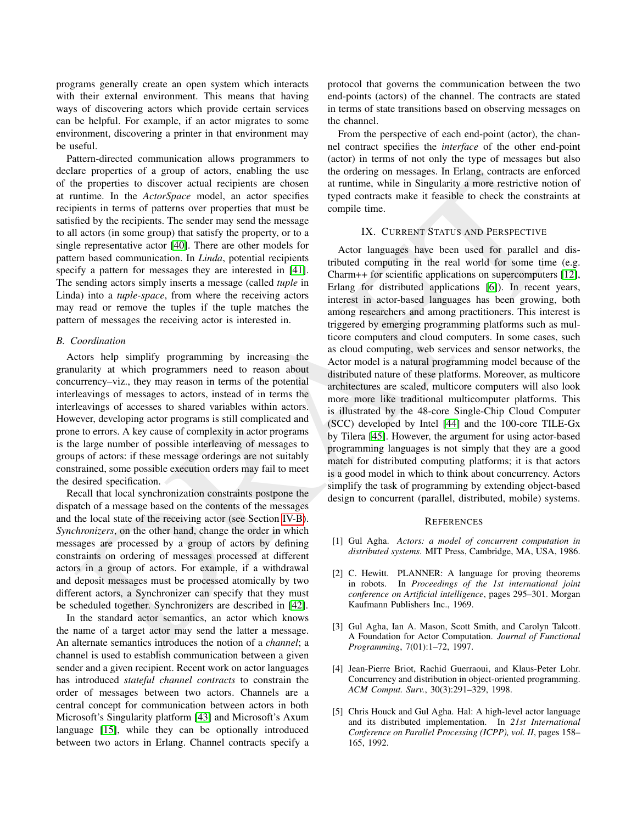programs generally create an open system which interacts with their external environment. This means that having ways of discovering actors which provide certain services can be helpful. For example, if an actor migrates to some environment, discovering a printer in that environment may be useful.

Pattern-directed communication allows programmers to declare properties of a group of actors, enabling the use of the properties to discover actual recipients are chosen at runtime. In the *ActorSpace* model, an actor specifies recipients in terms of patterns over properties that must be satisfied by the recipients. The sender may send the message to all actors (in some group) that satisfy the property, or to a single representative actor [40]. There are other models for pattern based communication. In *Linda*, potential recipients specify a pattern for messages they are interested in [41]. The sending actors simply inserts a message (called *tuple* in Linda) into a *tuple-space*, from where the receiving actors may read or remove the tuples if the tuple matches the pattern of messages the receiving actor is interested in.

### *B. Coordination*

Actors help simplify programming by increasing the granularity at which programmers need to reason about concurrency–viz., they may reason in terms of the potential interleavings of messages to actors, instead of in terms the interleavings of accesses to shared variables within actors. However, developing actor programs is still complicated and prone to errors. A key cause of complexity in actor programs is the large number of possible interleaving of messages to groups of actors: if these message orderings are not suitably constrained, some possible execution orders may fail to meet the desired specification.

Recall that local synchronization constraints postpone the dispatch of a message based on the contents of the messages and the local state of the receiving actor (see Section IV-B). *Synchronizers*, on the other hand, change the order in which messages are processed by a group of actors by defining constraints on ordering of messages processed at different actors in a group of actors. For example, if a withdrawal and deposit messages must be processed atomically by two different actors, a Synchronizer can specify that they must be scheduled together. Synchronizers are described in [42].

In the standard actor semantics, an actor which knows the name of a target actor may send the latter a message. An alternate semantics introduces the notion of a *channel*; a channel is used to establish communication between a given sender and a given recipient. Recent work on actor languages has introduced *stateful channel contracts* to constrain the order of messages between two actors. Channels are a central concept for communication between actors in both Microsoft's Singularity platform [\[43\]](#page-8-10) and Microsoft's Axum language [\[15\]](#page-7-9), while they can be optionally introduced between two actors in Erlang. Channel contracts specify a protocol that governs the communication between the two end-points (actors) of the channel. The contracts are stated in terms of state transitions based on observing messages on the channel.

From the perspective of each end-point (actor), the channel contract specifies the *interface* of the other end-point (actor) in terms of not only the type of messages but also the ordering on messages. In Erlang, contracts are enforced at runtime, while in Singularity a more restrictive notion of typed contracts make it feasible to check the constraints at compile time.

#### IX. CURRENT STATUS AND PERSPECTIVE

are properties of a groot pix discon, enablige the use the ordering on researchs in the paper in the same of the constraints in the constraints in [A](#page-8-12) account to enforce the same of polaristic scaling of the same of polaris Actor languages have been used for parallel and distributed computing in the real world for some time (e.g. Charm++ for scientific applications on supercomputers [\[12\]](#page-7-6), Erlang for distributed applications [6]). In recent years, interest in actor-based languages has been growing, both among researchers and among practitioners. This interest is triggered by emerging programming platforms such as multicore computers and cloud computers. In some cases, such as cloud computing, web services and sensor networks, the Actor model is a natural programming model because of the distributed nature of these platforms. Moreover, as multicore architectures are scaled, multicore computers will also look more more like traditional multicomputer platforms. This is illustrated by the 48-core Single-Chip Cloud Computer (SCC) developed by Intel [44] and the 100-core TILE-Gx by Tilera [45]. However, the argument for using actor-based programming languages is not simply that they are a good match for distributed computing platforms; it is that actors is a good model in which to think about concurrency. Actors simplify the task of programming by extending object-based design to concurrent (parallel, distributed, mobile) systems.

#### **REFERENCES**

- <span id="page-6-0"></span>[1] Gul Agha. *Actors: a model of concurrent computation in distributed systems*. MIT Press, Cambridge, MA, USA, 1986.
- <span id="page-6-1"></span>[2] C. Hewitt. PLANNER: A language for proving theorems in robots. In *Proceedings of the 1st international joint conference on Artificial intelligence*, pages 295–301. Morgan Kaufmann Publishers Inc., 1969.
- <span id="page-6-2"></span>[3] Gul Agha, Ian A. Mason, Scott Smith, and Carolyn Talcott. A Foundation for Actor Computation. *Journal of Functional Programming*, 7(01):1–72, 1997.
- <span id="page-6-3"></span>[4] Jean-Pierre Briot, Rachid Guerraoui, and Klaus-Peter Lohr. Concurrency and distribution in object-oriented programming. *ACM Comput. Surv.*, 30(3):291–329, 1998.
- <span id="page-6-4"></span>[5] Chris Houck and Gul Agha. Hal: A high-level actor language and its distributed implementation. In *21st International Conference on Parallel Processing (ICPP), vol. II*, pages 158– 165, 1992.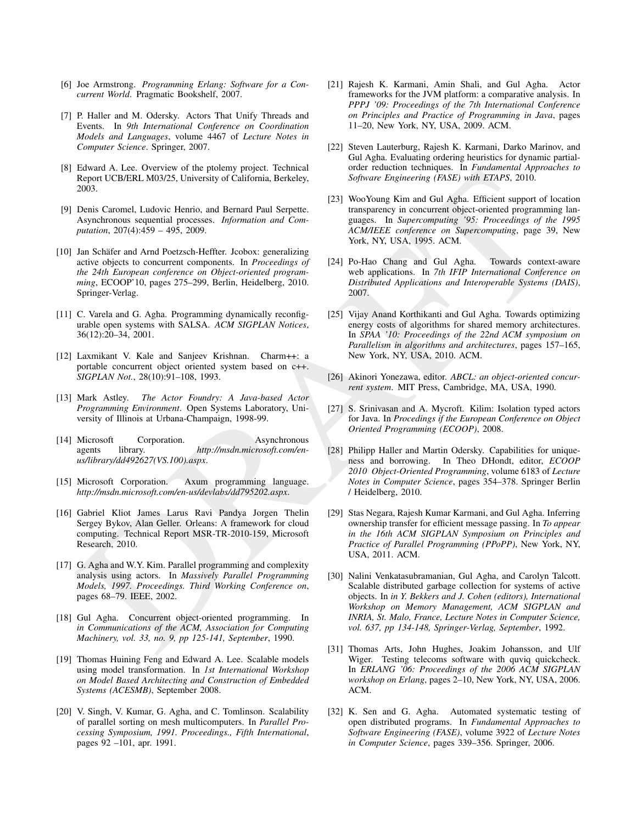- <span id="page-7-0"></span>[6] Joe Armstrong. *Programming Erlang: Software for a Concurrent World*. Pragmatic Bookshelf, 2007.
- <span id="page-7-1"></span>[7] P. Haller and M. Odersky. Actors That Unify Threads and Events. In *9th International Conference on Coordination Models and Languages*, volume 4467 of *Lecture Notes in Computer Science*. Springer, 2007.
- <span id="page-7-2"></span>[8] Edward A. Lee. Overview of the ptolemy project. Technical Report UCB/ERL M03/25, University of California, Berkeley, 2003.
- <span id="page-7-3"></span>[9] Denis Caromel, Ludovic Henrio, and Bernard Paul Serpette. Asynchronous sequential processes. *Information and Computation*, 207(4):459 – 495, 2009.
- <span id="page-7-4"></span>[10] Jan Schäfer and Arnd Poetzsch-Heffter. Jcobox: generalizing active objects to concurrent components. In *Proceedings of the 24th European conference on Object-oriented programming*, ECOOP'10, pages 275–299, Berlin, Heidelberg, 2010. Springer-Verlag.
- <span id="page-7-5"></span>[11] C. Varela and G. Agha. Programming dynamically reconfigurable open systems with SALSA. *ACM SIGPLAN Notices*, 36(12):20–34, 2001.
- <span id="page-7-6"></span>[12] Laxmikant V. Kale and Sanjeev Krishnan. Charm++: a portable concurrent object oriented system based on c++. *SIGPLAN Not.*, 28(10):91–108, 1993.
- <span id="page-7-7"></span>[13] Mark Astley. *The Actor Foundry: A Java-based Actor Programming Environment*. Open Systems Laboratory, University of Illinois at Urbana-Champaign, 1998-99.
- <span id="page-7-8"></span>[14] Microsoft Corporation. Asynchronous<br>agents library. http://msdn.microsoft.com/enhttp://msdn.microsoft.com/en*us/library/dd492627(VS.100).aspx*.
- <span id="page-7-9"></span>[15] Microsoft Corporation. Axum programming language. *http://msdn.microsoft.com/en-us/devlabs/dd795202.aspx*.
- <span id="page-7-10"></span>[16] Gabriel Kliot James Larus Ravi Pandya Jorgen Thelin Sergey Bykov, Alan Geller. Orleans: A framework for cloud computing. Technical Report MSR-TR-2010-159, Microsoft Research, 2010.
- <span id="page-7-11"></span>[17] G. Agha and W.Y. Kim. Parallel programming and complexity analysis using actors. In *Massively Parallel Programming Models, 1997. Proceedings. Third Working Conference on*, pages 68–79. IEEE, 2002.
- <span id="page-7-12"></span>[18] Gul Agha. Concurrent object-oriented programming. In *in Communications of the ACM, Association for Computing Machinery, vol. 33, no. 9, pp 125-141, September*, 1990.
- <span id="page-7-13"></span>[19] Thomas Huining Feng and Edward A. Lee. Scalable models using model transformation. In *1st International Workshop on Model Based Architecting and Construction of Embedded Systems (ACESMB)*, September 2008.
- <span id="page-7-14"></span>[20] V. Singh, V. Kumar, G. Agha, and C. Tomlinson. Scalability of parallel sorting on mesh multicomputers. In *Parallel Processing Symposium, 1991. Proceedings., Fifth International*, pages 92 –101, apr. 1991.
- <span id="page-7-15"></span>[21] Rajesh K. Karmani, Amin Shali, and Gul Agha. Actor frameworks for the JVM platform: a comparative analysis. In *PPPJ '09: Proceedings of the 7th International Conference on Principles and Practice of Programming in Java*, pages 11–20, New York, NY, USA, 2009. ACM.
- <span id="page-7-16"></span>[22] Steven Lauterburg, Rajesh K. Karmani, Darko Marinov, and Gul Agha. Evaluating ordering heuristics for dynamic partialorder reduction techniques. In *Fundamental Approaches to Software Engineering (FASE) with ETAPS*, 2010.
- <span id="page-7-17"></span>[23] WooYoung Kim and Gul Agha. Efficient support of location transparency in concurrent object-oriented programming languages. In *Supercomputing '95: Proceedings of the 1995 ACM/IEEE conference on Supercomputing*, page 39, New York, NY, USA, 1995. ACM.
- <span id="page-7-18"></span>[24] Po-Hao Chang and Gul Agha. Towards context-aware web applications. In *7th IFIP International Conference on Distributed Applications and Interoperable Systems (DAIS)*, 2007.
- <span id="page-7-19"></span>[25] Vijay Anand Korthikanti and Gul Agha. Towards optimizing energy costs of algorithms for shared memory architectures. In *SPAA '10: Proceedings of the 22nd ACM symposium on Parallelism in algorithms and architectures*, pages 157–165, New York, NY, USA, 2010. ACM.
- <span id="page-7-20"></span>[26] Akinori Yonezawa, editor. *ABCL: an object-oriented concurrent system*. MIT Press, Cambridge, MA, USA, 1990.
- <span id="page-7-21"></span>[27] S. Srinivasan and A. Mycroft. Kilim: Isolation typed actors for Java. In *Procedings if the European Conference on Object Oriented Programming (ECOOP)*, 2008.
- <span id="page-7-22"></span>[28] Philipp Haller and Martin Odersky. Capabilities for uniqueness and borrowing. In Theo DHondt, editor, *ECOOP 2010 Object-Oriented Programming*, volume 6183 of *Lecture Notes in Computer Science*, pages 354–378. Springer Berlin / Heidelberg, 2010.
- <span id="page-7-26"></span><span id="page-7-25"></span><span id="page-7-24"></span><span id="page-7-23"></span>[29] Stas Negara, Rajesh Kumar Karmani, and Gul Agha. Inferring ownership transfer for efficient message passing. In *To appear in the 16th ACM SIGPLAN Symposium on Principles and Practice of Parallel Programming (PPoPP)*, New York, NY, USA, 2011. ACM.
- Ensig C. E. Controls of the plotters function in the function of the matrix and the Apple 11-1 controls of the state of the state of the state of the state of the state of the state of the state of the state of the state [30] Nalini Venkatasubramanian, Gul Agha, and Carolyn Talcott. Scalable distributed garbage collection for systems of active objects. In *in Y. Bekkers and J. Cohen (editors), International Workshop on Memory Management, ACM SIGPLAN and INRIA, St. Malo, France, Lecture Notes in Computer Science, vol. 637, pp 134-148, Springer-Verlag, September*, 1992.
	- [31] Thomas Arts, John Hughes, Joakim Johansson, and Ulf Wiger. Testing telecoms software with quviq quickcheck. In *ERLANG '06: Proceedings of the 2006 ACM SIGPLAN workshop on Erlang*, pages 2–10, New York, NY, USA, 2006. ACM.
	- [32] K. Sen and G. Agha. Automated systematic testing of open distributed programs. In *Fundamental Approaches to Software Engineering (FASE)*, volume 3922 of *Lecture Notes in Computer Science*, pages 339–356. Springer, 2006.